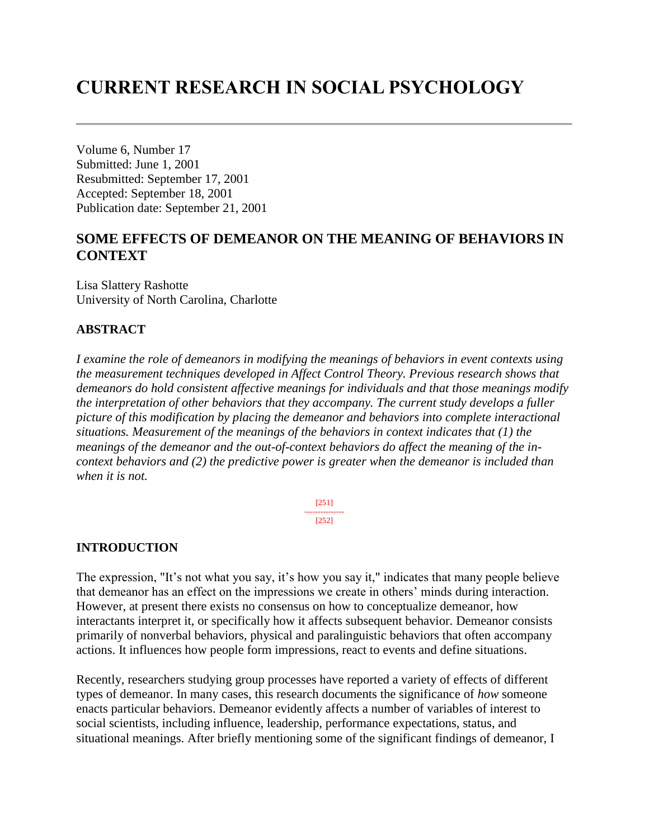# **CURRENT RESEARCH IN SOCIAL PSYCHOLOGY**

Volume 6, Number 17 Submitted: June 1, 2001 Resubmitted: September 17, 2001 Accepted: September 18, 2001 Publication date: September 21, 2001

# **SOME EFFECTS OF DEMEANOR ON THE MEANING OF BEHAVIORS IN CONTEXT**

Lisa Slattery Rashotte University of North Carolina, Charlotte

# **ABSTRACT**

*I examine the role of demeanors in modifying the meanings of behaviors in event contexts using the measurement techniques developed in Affect Control Theory. Previous research shows that demeanors do hold consistent affective meanings for individuals and that those meanings modify the interpretation of other behaviors that they accompany. The current study develops a fuller picture of this modification by placing the demeanor and behaviors into complete interactional situations. Measurement of the meanings of the behaviors in context indicates that (1) the meanings of the demeanor and the out-of-context behaviors do affect the meaning of the incontext behaviors and (2) the predictive power is greater when the demeanor is included than when it is not.*

> [251] --------------- [252]

### **INTRODUCTION**

The expression, "It's not what you say, it's how you say it," indicates that many people believe that demeanor has an effect on the impressions we create in others' minds during interaction. However, at present there exists no consensus on how to conceptualize demeanor, how interactants interpret it, or specifically how it affects subsequent behavior. Demeanor consists primarily of nonverbal behaviors, physical and paralinguistic behaviors that often accompany actions. It influences how people form impressions, react to events and define situations.

Recently, researchers studying group processes have reported a variety of effects of different types of demeanor. In many cases, this research documents the significance of *how* someone enacts particular behaviors. Demeanor evidently affects a number of variables of interest to social scientists, including influence, leadership, performance expectations, status, and situational meanings. After briefly mentioning some of the significant findings of demeanor, I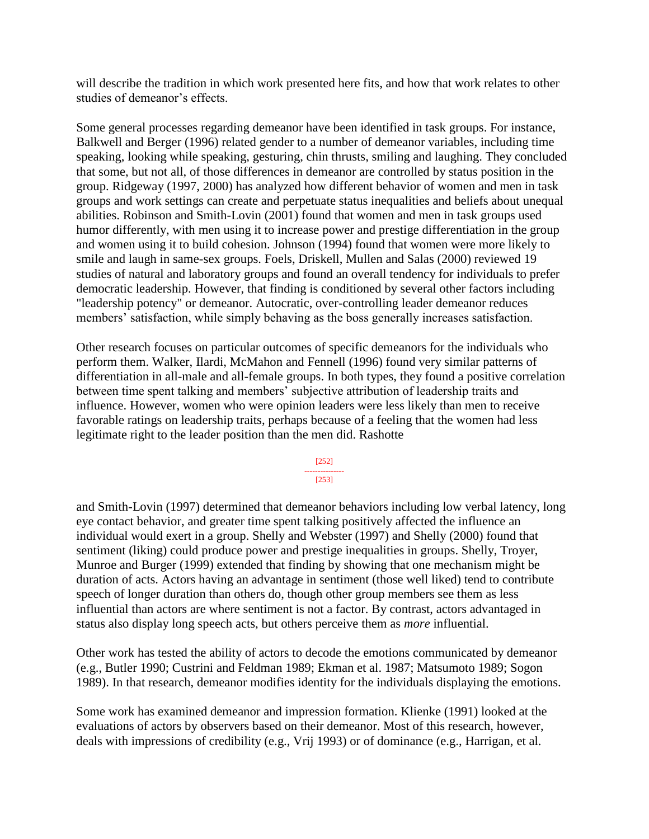will describe the tradition in which work presented here fits, and how that work relates to other studies of demeanor's effects.

Some general processes regarding demeanor have been identified in task groups. For instance, Balkwell and Berger (1996) related gender to a number of demeanor variables, including time speaking, looking while speaking, gesturing, chin thrusts, smiling and laughing. They concluded that some, but not all, of those differences in demeanor are controlled by status position in the group. Ridgeway (1997, 2000) has analyzed how different behavior of women and men in task groups and work settings can create and perpetuate status inequalities and beliefs about unequal abilities. Robinson and Smith-Lovin (2001) found that women and men in task groups used humor differently, with men using it to increase power and prestige differentiation in the group and women using it to build cohesion. Johnson (1994) found that women were more likely to smile and laugh in same-sex groups. Foels, Driskell, Mullen and Salas (2000) reviewed 19 studies of natural and laboratory groups and found an overall tendency for individuals to prefer democratic leadership. However, that finding is conditioned by several other factors including "leadership potency" or demeanor. Autocratic, over-controlling leader demeanor reduces members' satisfaction, while simply behaving as the boss generally increases satisfaction.

Other research focuses on particular outcomes of specific demeanors for the individuals who perform them. Walker, Ilardi, McMahon and Fennell (1996) found very similar patterns of differentiation in all-male and all-female groups. In both types, they found a positive correlation between time spent talking and members' subjective attribution of leadership traits and influence. However, women who were opinion leaders were less likely than men to receive favorable ratings on leadership traits, perhaps because of a feeling that the women had less legitimate right to the leader position than the men did. Rashotte

> [252] --------------- [253]

and Smith-Lovin (1997) determined that demeanor behaviors including low verbal latency, long eye contact behavior, and greater time spent talking positively affected the influence an individual would exert in a group. Shelly and Webster (1997) and Shelly (2000) found that sentiment (liking) could produce power and prestige inequalities in groups. Shelly, Troyer, Munroe and Burger (1999) extended that finding by showing that one mechanism might be duration of acts. Actors having an advantage in sentiment (those well liked) tend to contribute speech of longer duration than others do, though other group members see them as less influential than actors are where sentiment is not a factor. By contrast, actors advantaged in status also display long speech acts, but others perceive them as *more* influential.

Other work has tested the ability of actors to decode the emotions communicated by demeanor (e.g., Butler 1990; Custrini and Feldman 1989; Ekman et al. 1987; Matsumoto 1989; Sogon 1989). In that research, demeanor modifies identity for the individuals displaying the emotions.

Some work has examined demeanor and impression formation. Klienke (1991) looked at the evaluations of actors by observers based on their demeanor. Most of this research, however, deals with impressions of credibility (e.g., Vrij 1993) or of dominance (e.g., Harrigan, et al.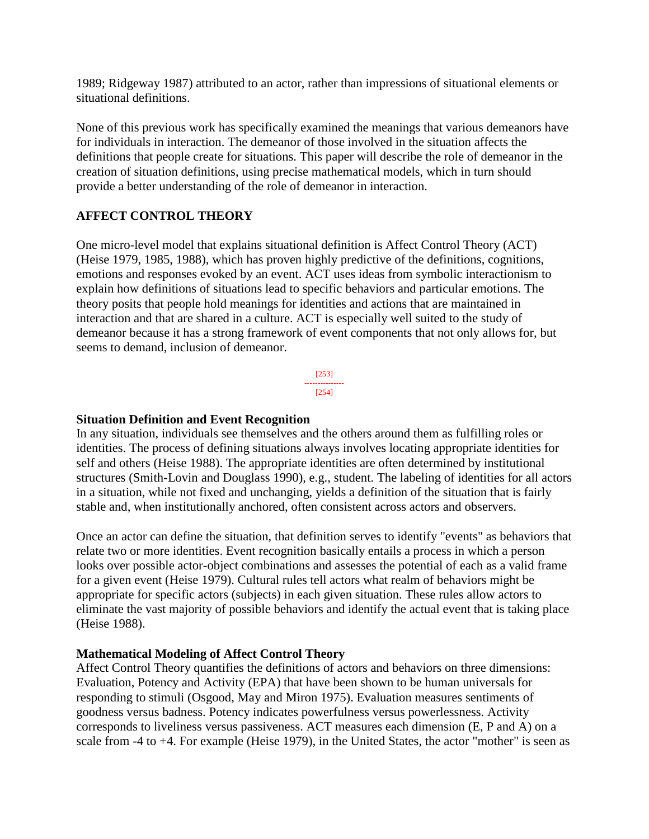1989; Ridgeway 1987) attributed to an actor, rather than impressions of situational elements or situational definitions.

None of this previous work has specifically examined the meanings that various demeanors have for individuals in interaction. The demeanor of those involved in the situation affects the definitions that people create for situations. This paper will describe the role of demeanor in the creation of situation definitions, using precise mathematical models, which in turn should provide a better understanding of the role of demeanor in interaction.

# **AFFECT CONTROL THEORY**

One micro-level model that explains situational definition is Affect Control Theory (ACT) (Heise 1979, 1985, 1988), which has proven highly predictive of the definitions, cognitions, emotions and responses evoked by an event. ACT uses ideas from symbolic interactionism to explain how definitions of situations lead to specific behaviors and particular emotions. The theory posits that people hold meanings for identities and actions that are maintained in interaction and that are shared in a culture. ACT is especially well suited to the study of demeanor because it has a strong framework of event components that not only allows for, but seems to demand, inclusion of demeanor.

> [253] --------------- [254]

# **Situation Definition and Event Recognition**

In any situation, individuals see themselves and the others around them as fulfilling roles or identities. The process of defining situations always involves locating appropriate identities for self and others (Heise 1988). The appropriate identities are often determined by institutional structures (Smith-Lovin and Douglass 1990), e.g., student. The labeling of identities for all actors in a situation, while not fixed and unchanging, yields a definition of the situation that is fairly stable and, when institutionally anchored, often consistent across actors and observers.

Once an actor can define the situation, that definition serves to identify "events" as behaviors that relate two or more identities. Event recognition basically entails a process in which a person looks over possible actor-object combinations and assesses the potential of each as a valid frame for a given event (Heise 1979). Cultural rules tell actors what realm of behaviors might be appropriate for specific actors (subjects) in each given situation. These rules allow actors to eliminate the vast majority of possible behaviors and identify the actual event that is taking place (Heise 1988).

# **Mathematical Modeling of Affect Control Theory**

Affect Control Theory quantifies the definitions of actors and behaviors on three dimensions: Evaluation, Potency and Activity (EPA) that have been shown to be human universals for responding to stimuli (Osgood, May and Miron 1975). Evaluation measures sentiments of goodness versus badness. Potency indicates powerfulness versus powerlessness. Activity corresponds to liveliness versus passiveness. ACT measures each dimension (E, P and A) on a scale from -4 to +4. For example (Heise 1979), in the United States, the actor "mother" is seen as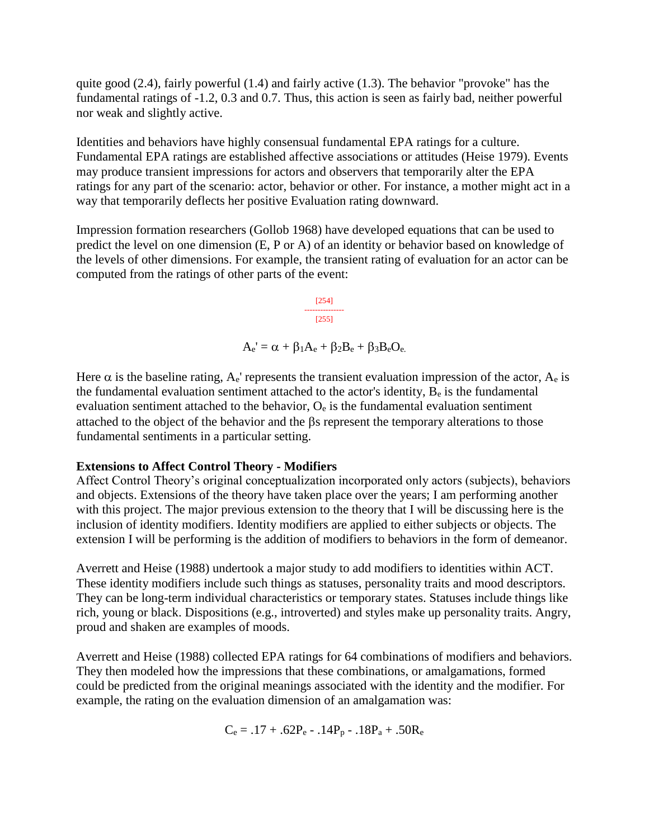quite good (2.4), fairly powerful (1.4) and fairly active (1.3). The behavior "provoke" has the fundamental ratings of -1.2, 0.3 and 0.7. Thus, this action is seen as fairly bad, neither powerful nor weak and slightly active.

Identities and behaviors have highly consensual fundamental EPA ratings for a culture. Fundamental EPA ratings are established affective associations or attitudes (Heise 1979). Events may produce transient impressions for actors and observers that temporarily alter the EPA ratings for any part of the scenario: actor, behavior or other. For instance, a mother might act in a way that temporarily deflects her positive Evaluation rating downward.

Impression formation researchers (Gollob 1968) have developed equations that can be used to predict the level on one dimension (E, P or A) of an identity or behavior based on knowledge of the levels of other dimensions. For example, the transient rating of evaluation for an actor can be computed from the ratings of other parts of the event:

> [254] --------------- [255]

 $A_e' = \alpha + \beta_1 A_e + \beta_2 B_e + \beta_3 B_e O_e.$ 

Here  $\alpha$  is the baseline rating, A<sub>e</sub>' represents the transient evaluation impression of the actor, A<sub>e</sub> is the fundamental evaluation sentiment attached to the actor's identity,  $B<sub>e</sub>$  is the fundamental evaluation sentiment attached to the behavior,  $O_e$  is the fundamental evaluation sentiment attached to the object of the behavior and the  $\beta s$  represent the temporary alterations to those fundamental sentiments in a particular setting.

### **Extensions to Affect Control Theory - Modifiers**

Affect Control Theory's original conceptualization incorporated only actors (subjects), behaviors and objects. Extensions of the theory have taken place over the years; I am performing another with this project. The major previous extension to the theory that I will be discussing here is the inclusion of identity modifiers. Identity modifiers are applied to either subjects or objects. The extension I will be performing is the addition of modifiers to behaviors in the form of demeanor.

Averrett and Heise (1988) undertook a major study to add modifiers to identities within ACT. These identity modifiers include such things as statuses, personality traits and mood descriptors. They can be long-term individual characteristics or temporary states. Statuses include things like rich, young or black. Dispositions (e.g., introverted) and styles make up personality traits. Angry, proud and shaken are examples of moods.

Averrett and Heise (1988) collected EPA ratings for 64 combinations of modifiers and behaviors. They then modeled how the impressions that these combinations, or amalgamations, formed could be predicted from the original meanings associated with the identity and the modifier. For example, the rating on the evaluation dimension of an amalgamation was:

 $C_e = .17 + .62P_e - .14P_p - .18P_a + .50R_e$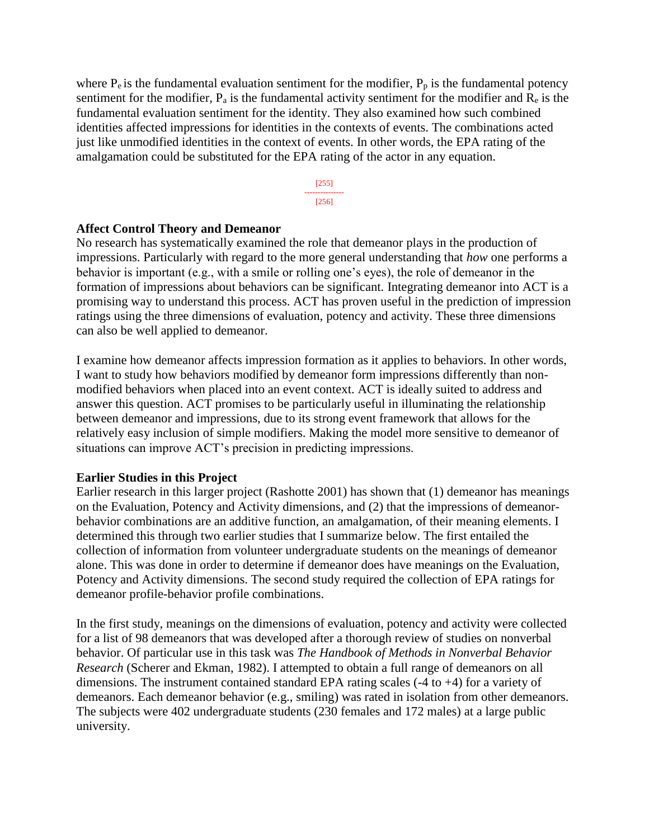where  $P_e$  is the fundamental evaluation sentiment for the modifier,  $P_p$  is the fundamental potency sentiment for the modifier,  $P_a$  is the fundamental activity sentiment for the modifier and  $R_e$  is the fundamental evaluation sentiment for the identity. They also examined how such combined identities affected impressions for identities in the contexts of events. The combinations acted just like unmodified identities in the context of events. In other words, the EPA rating of the amalgamation could be substituted for the EPA rating of the actor in any equation.



#### **Affect Control Theory and Demeanor**

No research has systematically examined the role that demeanor plays in the production of impressions. Particularly with regard to the more general understanding that *how* one performs a behavior is important (e.g., with a smile or rolling one's eyes), the role of demeanor in the formation of impressions about behaviors can be significant. Integrating demeanor into ACT is a promising way to understand this process. ACT has proven useful in the prediction of impression ratings using the three dimensions of evaluation, potency and activity. These three dimensions can also be well applied to demeanor.

I examine how demeanor affects impression formation as it applies to behaviors. In other words, I want to study how behaviors modified by demeanor form impressions differently than nonmodified behaviors when placed into an event context. ACT is ideally suited to address and answer this question. ACT promises to be particularly useful in illuminating the relationship between demeanor and impressions, due to its strong event framework that allows for the relatively easy inclusion of simple modifiers. Making the model more sensitive to demeanor of situations can improve ACT's precision in predicting impressions.

### **Earlier Studies in this Project**

Earlier research in this larger project (Rashotte 2001) has shown that (1) demeanor has meanings on the Evaluation, Potency and Activity dimensions, and (2) that the impressions of demeanorbehavior combinations are an additive function, an amalgamation, of their meaning elements. I determined this through two earlier studies that I summarize below. The first entailed the collection of information from volunteer undergraduate students on the meanings of demeanor alone. This was done in order to determine if demeanor does have meanings on the Evaluation, Potency and Activity dimensions. The second study required the collection of EPA ratings for demeanor profile-behavior profile combinations.

In the first study, meanings on the dimensions of evaluation, potency and activity were collected for a list of 98 demeanors that was developed after a thorough review of studies on nonverbal behavior. Of particular use in this task was *The Handbook of Methods in Nonverbal Behavior Research* (Scherer and Ekman, 1982). I attempted to obtain a full range of demeanors on all dimensions. The instrument contained standard EPA rating scales (-4 to +4) for a variety of demeanors. Each demeanor behavior (e.g., smiling) was rated in isolation from other demeanors. The subjects were 402 undergraduate students (230 females and 172 males) at a large public university.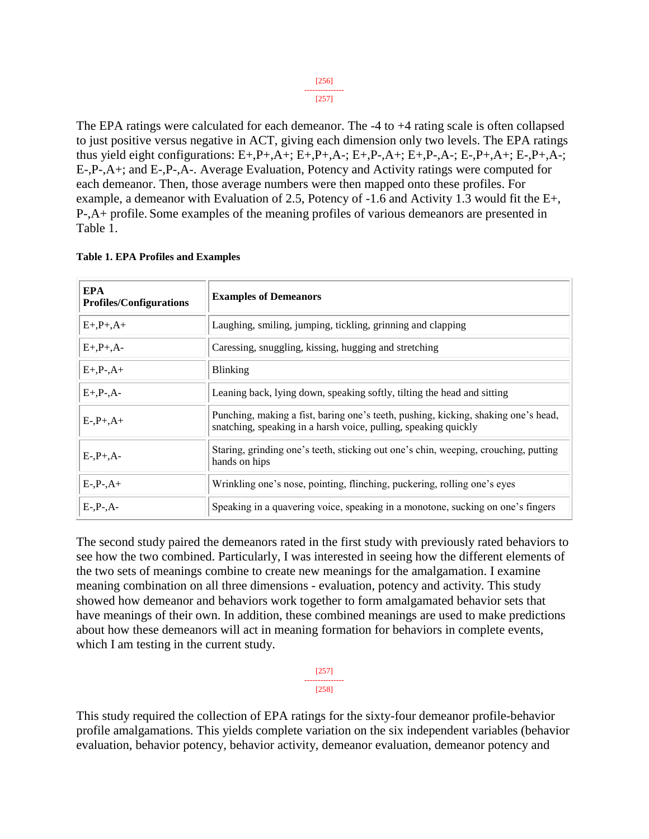The EPA ratings were calculated for each demeanor. The -4 to +4 rating scale is often collapsed to just positive versus negative in ACT, giving each dimension only two levels. The EPA ratings thus yield eight configurations:  $E+, P+, A+, E+, P+, A-, E+, P-, A+, E+, P-, A-, E-, P+, A+, E-, P+, A-,$ E-,P-,A+; and E-,P-,A-. Average Evaluation, Potency and Activity ratings were computed for each demeanor. Then, those average numbers were then mapped onto these profiles. For example, a demeanor with Evaluation of 2.5, Potency of -1.6 and Activity 1.3 would fit the E+, P-,A+ profile. Some examples of the meaning profiles of various demeanors are presented in Table 1.

| <b>EPA</b><br><b>Profiles/Configurations</b> | <b>Examples of Demeanors</b>                                                                                                                          |
|----------------------------------------------|-------------------------------------------------------------------------------------------------------------------------------------------------------|
| $E+, P+, A+$                                 | Laughing, smiling, jumping, tickling, grinning and clapping                                                                                           |
| $E+, P+, A-$                                 | Caressing, snuggling, kissing, hugging and stretching                                                                                                 |
| $E+, P-, A+$                                 | <b>Blinking</b>                                                                                                                                       |
| $E+, P-, A-$                                 | Leaning back, lying down, speaking softly, tilting the head and sitting                                                                               |
| $E-, P+, A+$                                 | Punching, making a fist, baring one's teeth, pushing, kicking, shaking one's head,<br>snatching, speaking in a harsh voice, pulling, speaking quickly |
| $E-, P+, A-$                                 | Staring, grinding one's teeth, sticking out one's chin, weeping, crouching, putting<br>hands on hips                                                  |
| $E-, P-, A+$                                 | Wrinkling one's nose, pointing, flinching, puckering, rolling one's eyes                                                                              |
| $E-, P-, A-$                                 | Speaking in a quavering voice, speaking in a monotone, sucking on one's fingers                                                                       |

|  |  |  |  |  |  | <b>Table 1. EPA Profiles and Examples</b> |
|--|--|--|--|--|--|-------------------------------------------|
|--|--|--|--|--|--|-------------------------------------------|

The second study paired the demeanors rated in the first study with previously rated behaviors to see how the two combined. Particularly, I was interested in seeing how the different elements of the two sets of meanings combine to create new meanings for the amalgamation. I examine meaning combination on all three dimensions - evaluation, potency and activity. This study showed how demeanor and behaviors work together to form amalgamated behavior sets that have meanings of their own. In addition, these combined meanings are used to make predictions about how these demeanors will act in meaning formation for behaviors in complete events, which I am testing in the current study.

> [257] --------------- [258]

This study required the collection of EPA ratings for the sixty-four demeanor profile-behavior profile amalgamations. This yields complete variation on the six independent variables (behavior evaluation, behavior potency, behavior activity, demeanor evaluation, demeanor potency and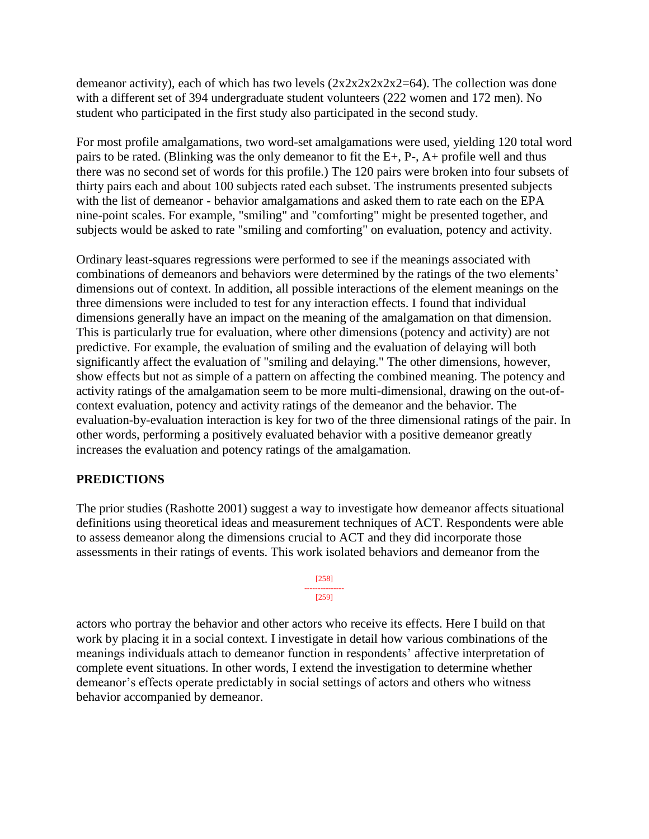demeanor activity), each of which has two levels  $(2x2x2x2x2=64)$ . The collection was done with a different set of 394 undergraduate student volunteers (222 women and 172 men). No student who participated in the first study also participated in the second study.

For most profile amalgamations, two word-set amalgamations were used, yielding 120 total word pairs to be rated. (Blinking was the only demeanor to fit the E+, P-, A+ profile well and thus there was no second set of words for this profile.) The 120 pairs were broken into four subsets of thirty pairs each and about 100 subjects rated each subset. The instruments presented subjects with the list of demeanor - behavior amalgamations and asked them to rate each on the EPA nine-point scales. For example, "smiling" and "comforting" might be presented together, and subjects would be asked to rate "smiling and comforting" on evaluation, potency and activity.

Ordinary least-squares regressions were performed to see if the meanings associated with combinations of demeanors and behaviors were determined by the ratings of the two elements' dimensions out of context. In addition, all possible interactions of the element meanings on the three dimensions were included to test for any interaction effects. I found that individual dimensions generally have an impact on the meaning of the amalgamation on that dimension. This is particularly true for evaluation, where other dimensions (potency and activity) are not predictive. For example, the evaluation of smiling and the evaluation of delaying will both significantly affect the evaluation of "smiling and delaying." The other dimensions, however, show effects but not as simple of a pattern on affecting the combined meaning. The potency and activity ratings of the amalgamation seem to be more multi-dimensional, drawing on the out-ofcontext evaluation, potency and activity ratings of the demeanor and the behavior. The evaluation-by-evaluation interaction is key for two of the three dimensional ratings of the pair. In other words, performing a positively evaluated behavior with a positive demeanor greatly increases the evaluation and potency ratings of the amalgamation.

# **PREDICTIONS**

The prior studies (Rashotte 2001) suggest a way to investigate how demeanor affects situational definitions using theoretical ideas and measurement techniques of ACT. Respondents were able to assess demeanor along the dimensions crucial to ACT and they did incorporate those assessments in their ratings of events. This work isolated behaviors and demeanor from the

> [258] --------------- [259]

actors who portray the behavior and other actors who receive its effects. Here I build on that work by placing it in a social context. I investigate in detail how various combinations of the meanings individuals attach to demeanor function in respondents' affective interpretation of complete event situations. In other words, I extend the investigation to determine whether demeanor's effects operate predictably in social settings of actors and others who witness behavior accompanied by demeanor.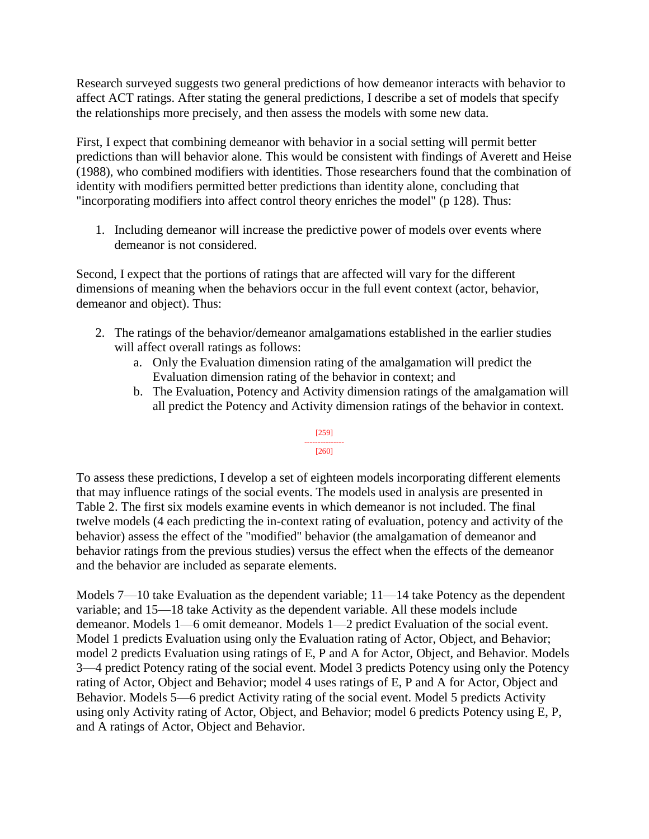Research surveyed suggests two general predictions of how demeanor interacts with behavior to affect ACT ratings. After stating the general predictions, I describe a set of models that specify the relationships more precisely, and then assess the models with some new data.

First, I expect that combining demeanor with behavior in a social setting will permit better predictions than will behavior alone. This would be consistent with findings of Averett and Heise (1988), who combined modifiers with identities. Those researchers found that the combination of identity with modifiers permitted better predictions than identity alone, concluding that "incorporating modifiers into affect control theory enriches the model" (p 128). Thus:

1. Including demeanor will increase the predictive power of models over events where demeanor is not considered.

Second, I expect that the portions of ratings that are affected will vary for the different dimensions of meaning when the behaviors occur in the full event context (actor, behavior, demeanor and object). Thus:

- 2. The ratings of the behavior/demeanor amalgamations established in the earlier studies will affect overall ratings as follows:
	- a. Only the Evaluation dimension rating of the amalgamation will predict the Evaluation dimension rating of the behavior in context; and
	- b. The Evaluation, Potency and Activity dimension ratings of the amalgamation will all predict the Potency and Activity dimension ratings of the behavior in context.

#### [259] --------------- [260]

# To assess these predictions, I develop a set of eighteen models incorporating different elements that may influence ratings of the social events. The models used in analysis are presented in Table 2. The first six models examine events in which demeanor is not included. The final twelve models (4 each predicting the in-context rating of evaluation, potency and activity of the behavior) assess the effect of the "modified" behavior (the amalgamation of demeanor and behavior ratings from the previous studies) versus the effect when the effects of the demeanor and the behavior are included as separate elements.

Models 7—10 take Evaluation as the dependent variable; 11—14 take Potency as the dependent variable; and 15—18 take Activity as the dependent variable. All these models include demeanor. Models 1—6 omit demeanor. Models 1—2 predict Evaluation of the social event. Model 1 predicts Evaluation using only the Evaluation rating of Actor, Object, and Behavior; model 2 predicts Evaluation using ratings of E, P and A for Actor, Object, and Behavior. Models 3—4 predict Potency rating of the social event. Model 3 predicts Potency using only the Potency rating of Actor, Object and Behavior; model 4 uses ratings of E, P and A for Actor, Object and Behavior. Models 5—6 predict Activity rating of the social event. Model 5 predicts Activity using only Activity rating of Actor, Object, and Behavior; model 6 predicts Potency using E, P, and A ratings of Actor, Object and Behavior.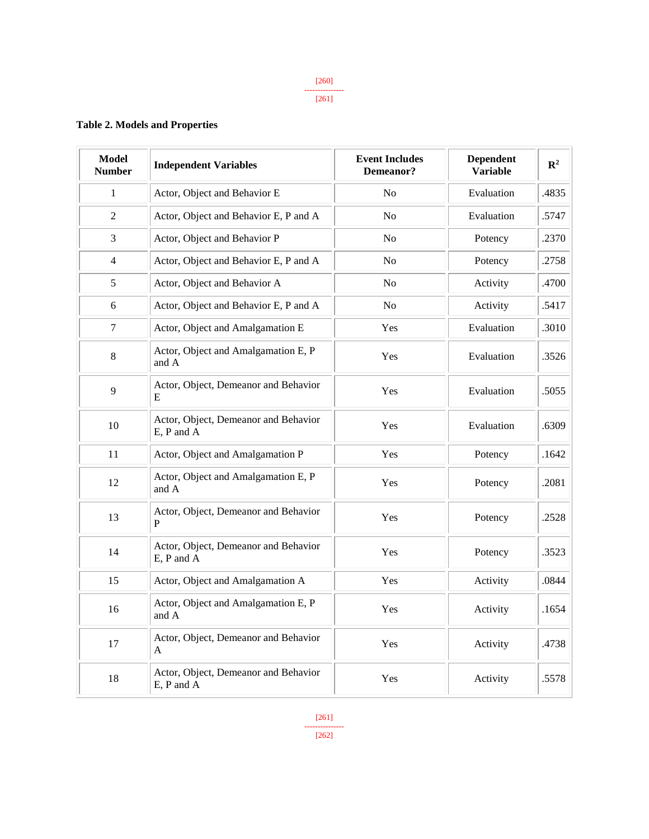#### **Table 2. Models and Properties**

| <b>Model</b><br><b>Number</b> | <b>Independent Variables</b>                       | <b>Event Includes</b><br>Demeanor? | <b>Dependent</b><br><b>Variable</b> | $\mathbb{R}^2$ |
|-------------------------------|----------------------------------------------------|------------------------------------|-------------------------------------|----------------|
| $\mathbf{1}$                  | Actor, Object and Behavior E                       | No                                 | Evaluation                          | .4835          |
| $\overline{2}$                | Actor, Object and Behavior E, P and A              | N <sub>0</sub>                     | Evaluation                          | .5747          |
| 3                             | Actor, Object and Behavior P                       | N <sub>0</sub>                     | Potency                             | .2370          |
| $\overline{4}$                | Actor, Object and Behavior E, P and A              | No                                 | Potency                             | .2758          |
| 5                             | Actor, Object and Behavior A                       | N <sub>o</sub>                     | Activity                            | .4700          |
| 6                             | Actor, Object and Behavior E, P and A              | N <sub>o</sub>                     | Activity                            | .5417          |
| $\boldsymbol{7}$              | Actor, Object and Amalgamation E                   | Yes                                | Evaluation                          | .3010          |
| $8\,$                         | Actor, Object and Amalgamation E, P<br>and A       | Yes                                | Evaluation                          | .3526          |
| 9                             | Actor, Object, Demeanor and Behavior<br>E          | Yes                                | Evaluation                          | .5055          |
| 10                            | Actor, Object, Demeanor and Behavior<br>E, P and A | Yes                                | Evaluation                          | .6309          |
| 11                            | Actor, Object and Amalgamation P                   | Yes                                | Potency                             | .1642          |
| 12                            | Actor, Object and Amalgamation E, P<br>and A       | Yes                                | Potency                             | .2081          |
| 13                            | Actor, Object, Demeanor and Behavior<br>P          | Yes                                | Potency                             | .2528          |
| 14                            | Actor, Object, Demeanor and Behavior<br>E, P and A | Yes                                | Potency                             | .3523          |
| 15                            | Actor, Object and Amalgamation A                   | Yes                                | Activity                            | .0844          |
| 16                            | Actor, Object and Amalgamation E, P<br>and A       | Yes                                | Activity                            | .1654          |
| 17                            | Actor, Object, Demeanor and Behavior<br>A          | Yes                                | Activity                            | .4738          |
| 18                            | Actor, Object, Demeanor and Behavior<br>E, P and A | Yes                                | Activity                            | .5578          |

[261] --------------- [262]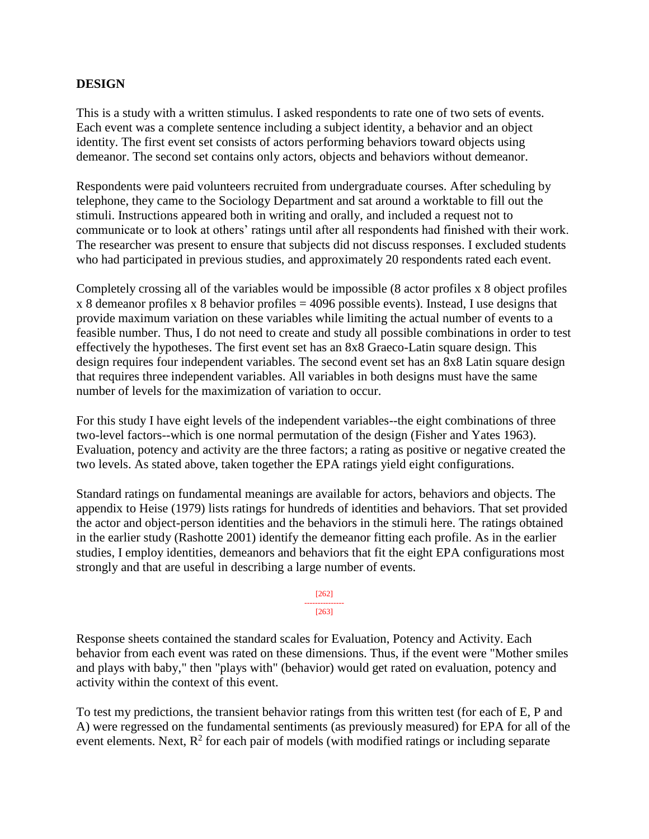# **DESIGN**

This is a study with a written stimulus. I asked respondents to rate one of two sets of events. Each event was a complete sentence including a subject identity, a behavior and an object identity. The first event set consists of actors performing behaviors toward objects using demeanor. The second set contains only actors, objects and behaviors without demeanor.

Respondents were paid volunteers recruited from undergraduate courses. After scheduling by telephone, they came to the Sociology Department and sat around a worktable to fill out the stimuli. Instructions appeared both in writing and orally, and included a request not to communicate or to look at others' ratings until after all respondents had finished with their work. The researcher was present to ensure that subjects did not discuss responses. I excluded students who had participated in previous studies, and approximately 20 respondents rated each event.

Completely crossing all of the variables would be impossible (8 actor profiles x 8 object profiles  $x$  8 demeanor profiles x 8 behavior profiles = 4096 possible events). Instead, I use designs that provide maximum variation on these variables while limiting the actual number of events to a feasible number. Thus, I do not need to create and study all possible combinations in order to test effectively the hypotheses. The first event set has an 8x8 Graeco-Latin square design. This design requires four independent variables. The second event set has an 8x8 Latin square design that requires three independent variables. All variables in both designs must have the same number of levels for the maximization of variation to occur.

For this study I have eight levels of the independent variables--the eight combinations of three two-level factors--which is one normal permutation of the design (Fisher and Yates 1963). Evaluation, potency and activity are the three factors; a rating as positive or negative created the two levels. As stated above, taken together the EPA ratings yield eight configurations.

Standard ratings on fundamental meanings are available for actors, behaviors and objects. The appendix to Heise (1979) lists ratings for hundreds of identities and behaviors. That set provided the actor and object-person identities and the behaviors in the stimuli here. The ratings obtained in the earlier study (Rashotte 2001) identify the demeanor fitting each profile. As in the earlier studies, I employ identities, demeanors and behaviors that fit the eight EPA configurations most strongly and that are useful in describing a large number of events.

> [262] --------------- [263]

Response sheets contained the standard scales for Evaluation, Potency and Activity. Each behavior from each event was rated on these dimensions. Thus, if the event were "Mother smiles and plays with baby," then "plays with" (behavior) would get rated on evaluation, potency and activity within the context of this event.

To test my predictions, the transient behavior ratings from this written test (for each of E, P and A) were regressed on the fundamental sentiments (as previously measured) for EPA for all of the event elements. Next,  $R^2$  for each pair of models (with modified ratings or including separate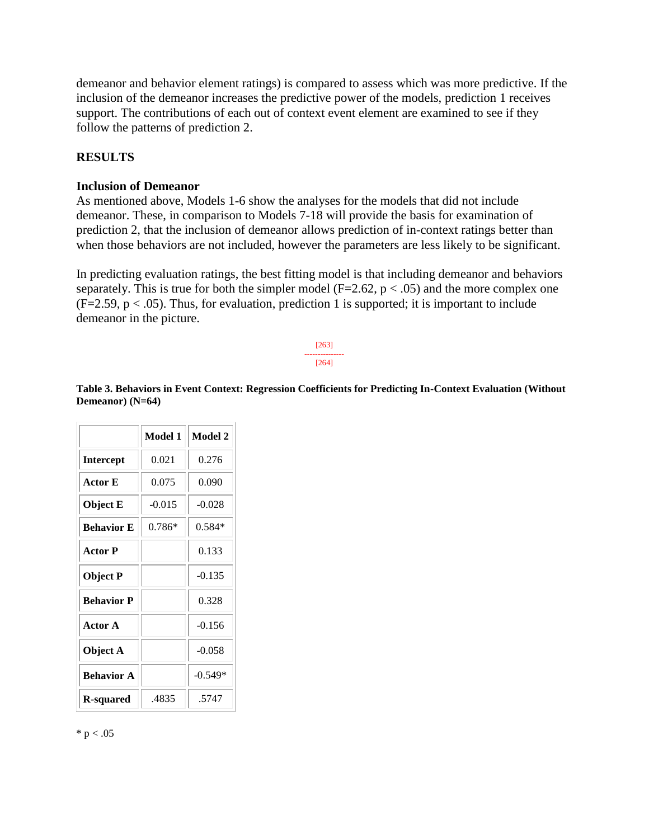demeanor and behavior element ratings) is compared to assess which was more predictive. If the inclusion of the demeanor increases the predictive power of the models, prediction 1 receives support. The contributions of each out of context event element are examined to see if they follow the patterns of prediction 2.

# **RESULTS**

#### **Inclusion of Demeanor**

As mentioned above, Models 1-6 show the analyses for the models that did not include demeanor. These, in comparison to Models 7-18 will provide the basis for examination of prediction 2, that the inclusion of demeanor allows prediction of in-context ratings better than when those behaviors are not included, however the parameters are less likely to be significant.

In predicting evaluation ratings, the best fitting model is that including demeanor and behaviors separately. This is true for both the simpler model ( $F=2.62$ ,  $p < .05$ ) and the more complex one  $(F=2.59, p < .05)$ . Thus, for evaluation, prediction 1 is supported; it is important to include demeanor in the picture.

> [263] --------------- [264]

**Table 3. Behaviors in Event Context: Regression Coefficients for Predicting In-Context Evaluation (Without Demeanor) (N=64)**

|                   | Model 1  | Model 2   |
|-------------------|----------|-----------|
| <b>Intercept</b>  | 0.021    | 0.276     |
| Actor E           | 0.075    | 0.090     |
| <b>Object E</b>   | $-0.015$ | $-0.028$  |
| <b>Behavior E</b> | 0.786*   | $0.584*$  |
| <b>Actor</b> P    |          | 0.133     |
| <b>Object P</b>   |          | $-0.135$  |
| <b>Behavior P</b> |          | 0.328     |
| <b>Actor A</b>    |          | $-0.156$  |
| Object A          |          | $-0.058$  |
| <b>Behavior A</b> |          | $-0.549*$ |
| R-squared         | .4835    | .5747     |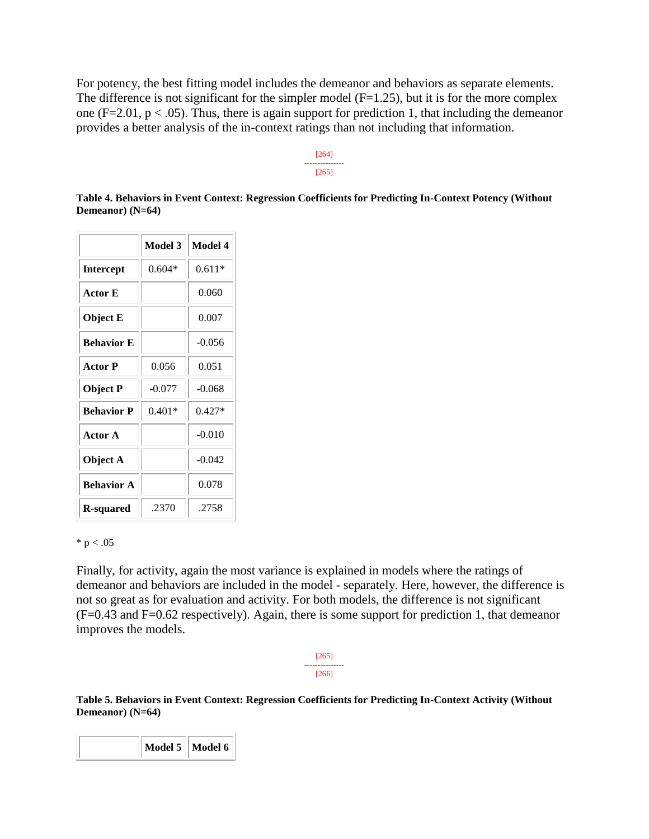For potency, the best fitting model includes the demeanor and behaviors as separate elements. The difference is not significant for the simpler model  $(F=1.25)$ , but it is for the more complex one (F=2.01,  $p < .05$ ). Thus, there is again support for prediction 1, that including the demeanor provides a better analysis of the in-context ratings than not including that information.

#### [264] --------------- [265]

**Table 4. Behaviors in Event Context: Regression Coefficients for Predicting In-Context Potency (Without Demeanor) (N=64)**

|                   | Model 3  | Model 4  |
|-------------------|----------|----------|
| <b>Intercept</b>  | $0.604*$ | $0.611*$ |
| Actor E           |          | 0.060    |
| Object E          |          | 0.007    |
| <b>Behavior E</b> |          | $-0.056$ |
| <b>Actor</b> P    | 0.056    | 0.051    |
| <b>Object P</b>   | $-0.077$ | $-0.068$ |
| <b>Behavior P</b> | $0.401*$ | $0.427*$ |
| Actor A           |          | $-0.010$ |
| Object A          |          | $-0.042$ |
| <b>Behavior A</b> |          | 0.078    |
| <b>R-squared</b>  | .2370    | .2758    |

#### $* p < .05$

Finally, for activity, again the most variance is explained in models where the ratings of demeanor and behaviors are included in the model - separately. Here, however, the difference is not so great as for evaluation and activity. For both models, the difference is not significant (F=0.43 and F=0.62 respectively). Again, there is some support for prediction 1, that demeanor improves the models.

**Table 5. Behaviors in Event Context: Regression Coefficients for Predicting In-Context Activity (Without Demeanor) (N=64)**

|  | Model $5 \parallel$ Model 6 |  |
|--|-----------------------------|--|
|--|-----------------------------|--|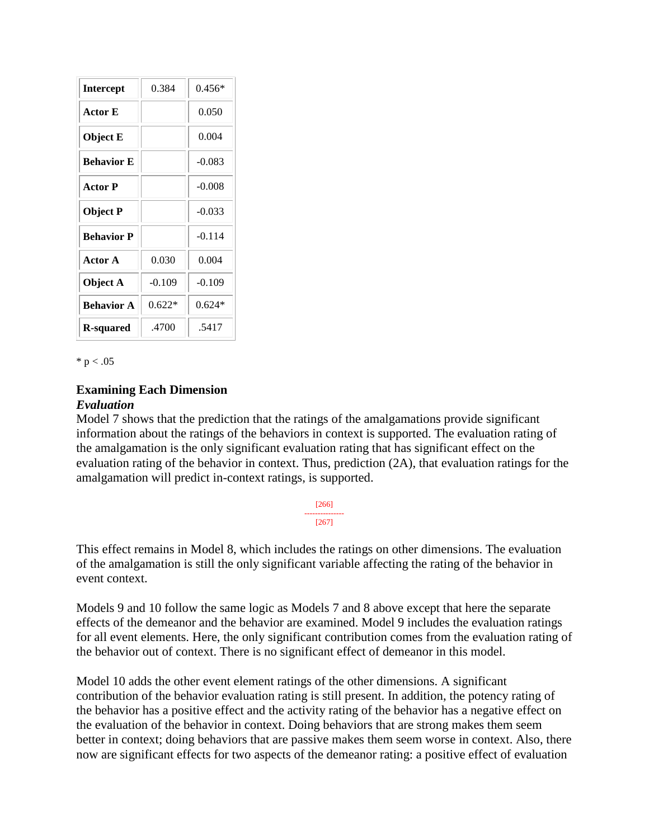| <b>Intercept</b>  | 0.384    | $0.456*$ |
|-------------------|----------|----------|
| Actor E           |          | 0.050    |
| Object E          |          | 0.004    |
| <b>Behavior E</b> |          | $-0.083$ |
| <b>Actor</b> P    |          | $-0.008$ |
| Object P          |          | $-0.033$ |
| <b>Behavior P</b> |          | $-0.114$ |
| Actor A           | 0.030    | 0.004    |
| Object A          | $-0.109$ | $-0.109$ |
| <b>Behavior A</b> | $0.622*$ | $0.624*$ |
| <b>R-squared</b>  | .4700    | .5417    |

 $* p < .05$ 

# **Examining Each Dimension**

#### *Evaluation*

Model 7 shows that the prediction that the ratings of the amalgamations provide significant information about the ratings of the behaviors in context is supported. The evaluation rating of the amalgamation is the only significant evaluation rating that has significant effect on the evaluation rating of the behavior in context. Thus, prediction (2A), that evaluation ratings for the amalgamation will predict in-context ratings, is supported.

| 661 |  |
|-----|--|
|     |  |
| 571 |  |

This effect remains in Model 8, which includes the ratings on other dimensions. The evaluation of the amalgamation is still the only significant variable affecting the rating of the behavior in event context.

Models 9 and 10 follow the same logic as Models 7 and 8 above except that here the separate effects of the demeanor and the behavior are examined. Model 9 includes the evaluation ratings for all event elements. Here, the only significant contribution comes from the evaluation rating of the behavior out of context. There is no significant effect of demeanor in this model.

Model 10 adds the other event element ratings of the other dimensions. A significant contribution of the behavior evaluation rating is still present. In addition, the potency rating of the behavior has a positive effect and the activity rating of the behavior has a negative effect on the evaluation of the behavior in context. Doing behaviors that are strong makes them seem better in context; doing behaviors that are passive makes them seem worse in context. Also, there now are significant effects for two aspects of the demeanor rating: a positive effect of evaluation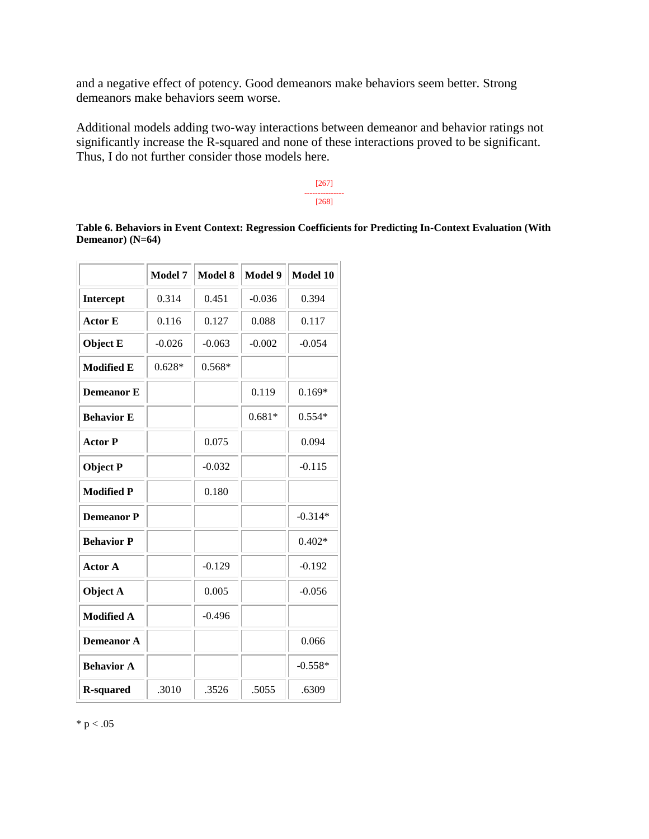and a negative effect of potency. Good demeanors make behaviors seem better. Strong demeanors make behaviors seem worse.

Additional models adding two-way interactions between demeanor and behavior ratings not significantly increase the R-squared and none of these interactions proved to be significant. Thus, I do not further consider those models here.



**Table 6. Behaviors in Event Context: Regression Coefficients for Predicting In-Context Evaluation (With Demeanor) (N=64)**

|                   | <b>Model 7</b> | <b>Model 8</b> | <b>Model 9</b> | Model 10  |
|-------------------|----------------|----------------|----------------|-----------|
| <b>Intercept</b>  | 0.314          | 0.451          | $-0.036$       | 0.394     |
| <b>Actor E</b>    | 0.116          | 0.127          | 0.088          | 0.117     |
| <b>Object E</b>   | $-0.026$       | $-0.063$       | $-0.002$       | $-0.054$  |
| <b>Modified E</b> | $0.628*$       | $0.568*$       |                |           |
| <b>Demeanor E</b> |                |                | 0.119          | $0.169*$  |
| <b>Behavior E</b> |                |                | $0.681*$       | $0.554*$  |
| <b>Actor P</b>    |                | 0.075          |                | 0.094     |
| <b>Object P</b>   |                | $-0.032$       |                | $-0.115$  |
| <b>Modified P</b> |                | 0.180          |                |           |
| <b>Demeanor P</b> |                |                |                | $-0.314*$ |
| <b>Behavior P</b> |                |                |                | $0.402*$  |
| <b>Actor A</b>    |                | $-0.129$       |                | $-0.192$  |
| Object A          |                | 0.005          |                | $-0.056$  |
| <b>Modified A</b> |                | $-0.496$       |                |           |
| <b>Demeanor A</b> |                |                |                | 0.066     |
| <b>Behavior A</b> |                |                |                | $-0.558*$ |
| <b>R-squared</b>  | .3010          | .3526          | .5055          | .6309     |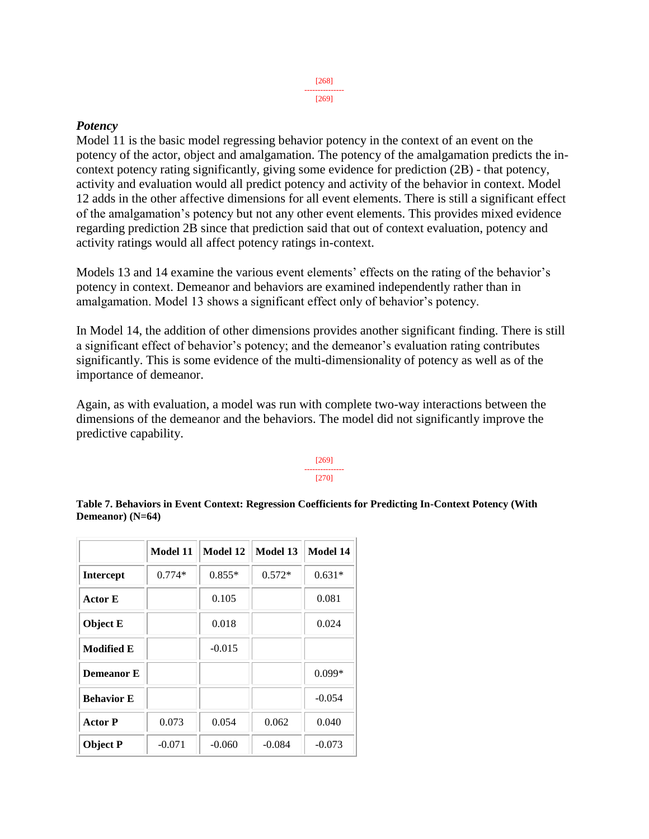#### [269]

## *Potency*

Model 11 is the basic model regressing behavior potency in the context of an event on the potency of the actor, object and amalgamation. The potency of the amalgamation predicts the incontext potency rating significantly, giving some evidence for prediction (2B) - that potency, activity and evaluation would all predict potency and activity of the behavior in context. Model 12 adds in the other affective dimensions for all event elements. There is still a significant effect of the amalgamation's potency but not any other event elements. This provides mixed evidence regarding prediction 2B since that prediction said that out of context evaluation, potency and activity ratings would all affect potency ratings in-context.

Models 13 and 14 examine the various event elements' effects on the rating of the behavior's potency in context. Demeanor and behaviors are examined independently rather than in amalgamation. Model 13 shows a significant effect only of behavior's potency.

In Model 14, the addition of other dimensions provides another significant finding. There is still a significant effect of behavior's potency; and the demeanor's evaluation rating contributes significantly. This is some evidence of the multi-dimensionality of potency as well as of the importance of demeanor.

Again, as with evaluation, a model was run with complete two-way interactions between the dimensions of the demeanor and the behaviors. The model did not significantly improve the predictive capability.

#### [269] --------------- [270]

**Table 7. Behaviors in Event Context: Regression Coefficients for Predicting In-Context Potency (With Demeanor) (N=64)**

|                   | Model 11 | Model 12 | Model 13 | <b>Model 14</b> |
|-------------------|----------|----------|----------|-----------------|
| <b>Intercept</b>  | $0.774*$ | $0.855*$ | $0.572*$ | $0.631*$        |
| <b>Actor E</b>    |          | 0.105    |          | 0.081           |
| <b>Object E</b>   |          | 0.018    |          | 0.024           |
| <b>Modified E</b> |          | $-0.015$ |          |                 |
| <b>Demeanor</b> E |          |          |          | $0.099*$        |
| <b>Behavior E</b> |          |          |          | $-0.054$        |
| <b>Actor P</b>    | 0.073    | 0.054    | 0.062    | 0.040           |
| <b>Object P</b>   | $-0.071$ | $-0.060$ | $-0.084$ | $-0.073$        |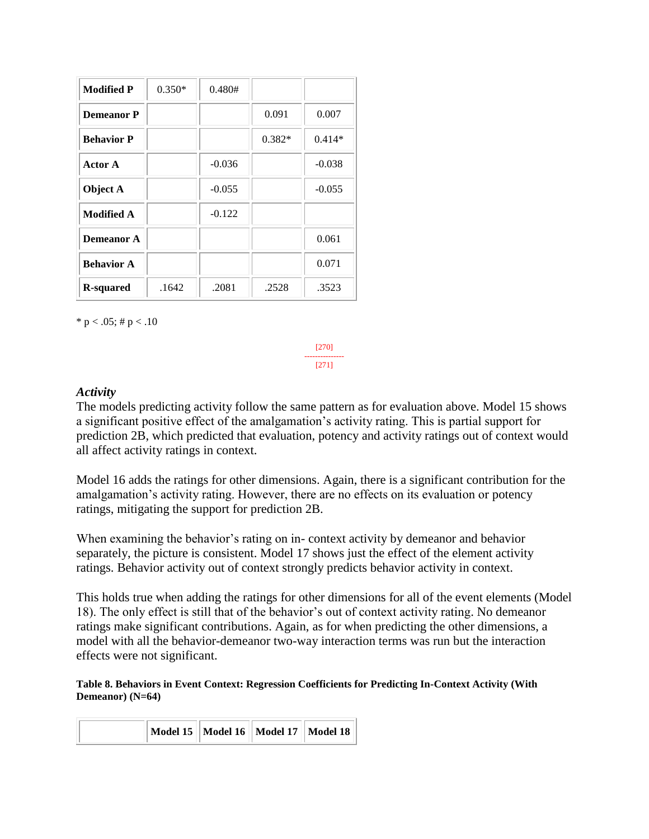| <b>Modified P</b> | $0.350*$ | 0.480#   |          |          |
|-------------------|----------|----------|----------|----------|
| <b>Demeanor P</b> |          |          | 0.091    | 0.007    |
| <b>Behavior P</b> |          |          | $0.382*$ | $0.414*$ |
| <b>Actor A</b>    |          | $-0.036$ |          | $-0.038$ |
| Object A          |          | $-0.055$ |          | $-0.055$ |
| <b>Modified A</b> |          | $-0.122$ |          |          |
| <b>Demeanor A</b> |          |          |          | 0.061    |
| <b>Behavior A</b> |          |          |          | 0.071    |
| <b>R-squared</b>  | .1642    | .2081    | .2528    | .3523    |

\* p < .05; # p < .10

[270] --------------- [271]

#### *Activity*

The models predicting activity follow the same pattern as for evaluation above. Model 15 shows a significant positive effect of the amalgamation's activity rating. This is partial support for prediction 2B, which predicted that evaluation, potency and activity ratings out of context would all affect activity ratings in context.

Model 16 adds the ratings for other dimensions. Again, there is a significant contribution for the amalgamation's activity rating. However, there are no effects on its evaluation or potency ratings, mitigating the support for prediction 2B.

When examining the behavior's rating on in- context activity by demeanor and behavior separately, the picture is consistent. Model 17 shows just the effect of the element activity ratings. Behavior activity out of context strongly predicts behavior activity in context.

This holds true when adding the ratings for other dimensions for all of the event elements (Model 18). The only effect is still that of the behavior's out of context activity rating. No demeanor ratings make significant contributions. Again, as for when predicting the other dimensions, a model with all the behavior-demeanor two-way interaction terms was run but the interaction effects were not significant.

#### **Table 8. Behaviors in Event Context: Regression Coefficients for Predicting In-Context Activity (With Demeanor) (N=64)**

|  | Model 15    Model 16    Model 17    Model 18 |  |  |
|--|----------------------------------------------|--|--|
|--|----------------------------------------------|--|--|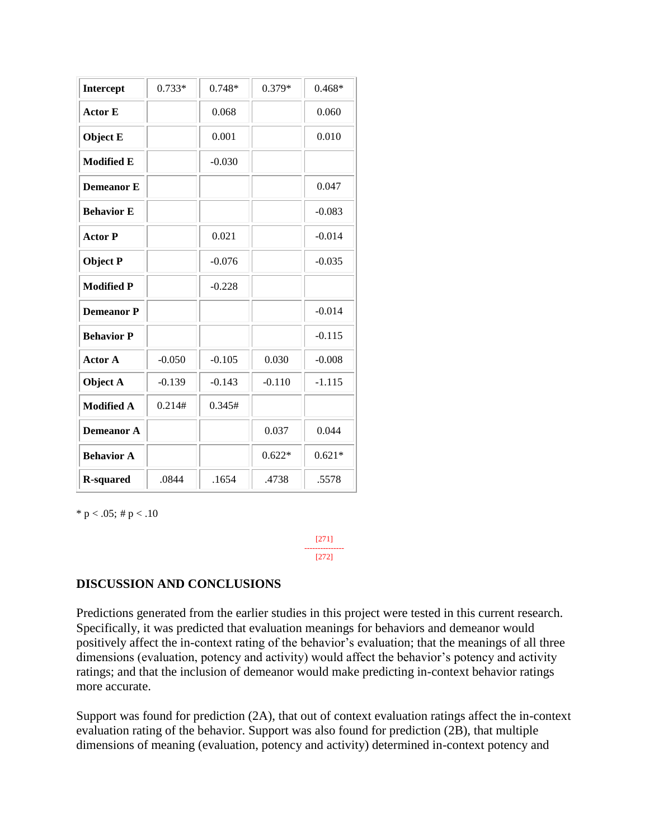| Intercept         | $0.733*$ | $0.748*$ | $0.379*$ | $0.468*$ |
|-------------------|----------|----------|----------|----------|
| <b>Actor E</b>    |          | 0.068    |          | 0.060    |
| <b>Object E</b>   |          | 0.001    |          | 0.010    |
| <b>Modified E</b> |          | $-0.030$ |          |          |
| <b>Demeanor E</b> |          |          |          | 0.047    |
| <b>Behavior E</b> |          |          |          | $-0.083$ |
| <b>Actor P</b>    |          | 0.021    |          | $-0.014$ |
| <b>Object P</b>   |          | $-0.076$ |          | $-0.035$ |
| <b>Modified P</b> |          | $-0.228$ |          |          |
| <b>Demeanor P</b> |          |          |          | $-0.014$ |
| <b>Behavior P</b> |          |          |          | $-0.115$ |
| <b>Actor A</b>    | $-0.050$ | $-0.105$ | 0.030    | $-0.008$ |
| Object A          | $-0.139$ | $-0.143$ | $-0.110$ | $-1.115$ |
| <b>Modified A</b> | 0.214#   | 0.345#   |          |          |
| <b>Demeanor A</b> |          |          | 0.037    | 0.044    |
| <b>Behavior A</b> |          |          | $0.622*$ | $0.621*$ |
| <b>R-squared</b>  | .0844    | .1654    | .4738    | .5578    |

\* p < .05; # p < .10

[271] --------------- [272]

### **DISCUSSION AND CONCLUSIONS**

Predictions generated from the earlier studies in this project were tested in this current research. Specifically, it was predicted that evaluation meanings for behaviors and demeanor would positively affect the in-context rating of the behavior's evaluation; that the meanings of all three dimensions (evaluation, potency and activity) would affect the behavior's potency and activity ratings; and that the inclusion of demeanor would make predicting in-context behavior ratings more accurate.

Support was found for prediction (2A), that out of context evaluation ratings affect the in-context evaluation rating of the behavior. Support was also found for prediction (2B), that multiple dimensions of meaning (evaluation, potency and activity) determined in-context potency and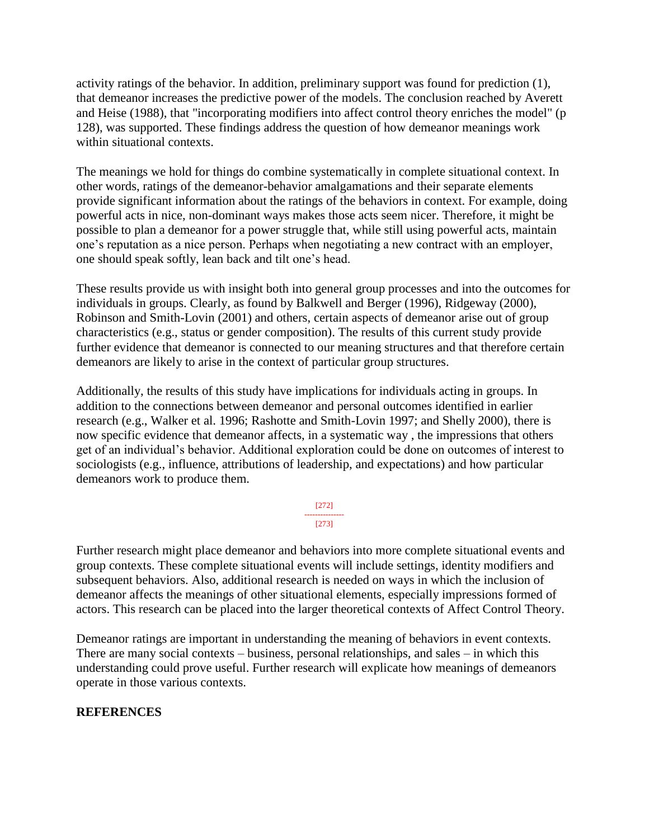activity ratings of the behavior. In addition, preliminary support was found for prediction (1), that demeanor increases the predictive power of the models. The conclusion reached by Averett and Heise (1988), that "incorporating modifiers into affect control theory enriches the model" (p 128), was supported. These findings address the question of how demeanor meanings work within situational contexts.

The meanings we hold for things do combine systematically in complete situational context. In other words, ratings of the demeanor-behavior amalgamations and their separate elements provide significant information about the ratings of the behaviors in context. For example, doing powerful acts in nice, non-dominant ways makes those acts seem nicer. Therefore, it might be possible to plan a demeanor for a power struggle that, while still using powerful acts, maintain one's reputation as a nice person. Perhaps when negotiating a new contract with an employer, one should speak softly, lean back and tilt one's head.

These results provide us with insight both into general group processes and into the outcomes for individuals in groups. Clearly, as found by Balkwell and Berger (1996), Ridgeway (2000), Robinson and Smith-Lovin (2001) and others, certain aspects of demeanor arise out of group characteristics (e.g., status or gender composition). The results of this current study provide further evidence that demeanor is connected to our meaning structures and that therefore certain demeanors are likely to arise in the context of particular group structures.

Additionally, the results of this study have implications for individuals acting in groups. In addition to the connections between demeanor and personal outcomes identified in earlier research (e.g., Walker et al. 1996; Rashotte and Smith-Lovin 1997; and Shelly 2000), there is now specific evidence that demeanor affects, in a systematic way , the impressions that others get of an individual's behavior. Additional exploration could be done on outcomes of interest to sociologists (e.g., influence, attributions of leadership, and expectations) and how particular demeanors work to produce them.

> [272] --------------- [273]

Further research might place demeanor and behaviors into more complete situational events and group contexts. These complete situational events will include settings, identity modifiers and subsequent behaviors. Also, additional research is needed on ways in which the inclusion of demeanor affects the meanings of other situational elements, especially impressions formed of actors. This research can be placed into the larger theoretical contexts of Affect Control Theory.

Demeanor ratings are important in understanding the meaning of behaviors in event contexts. There are many social contexts – business, personal relationships, and sales – in which this understanding could prove useful. Further research will explicate how meanings of demeanors operate in those various contexts.

# **REFERENCES**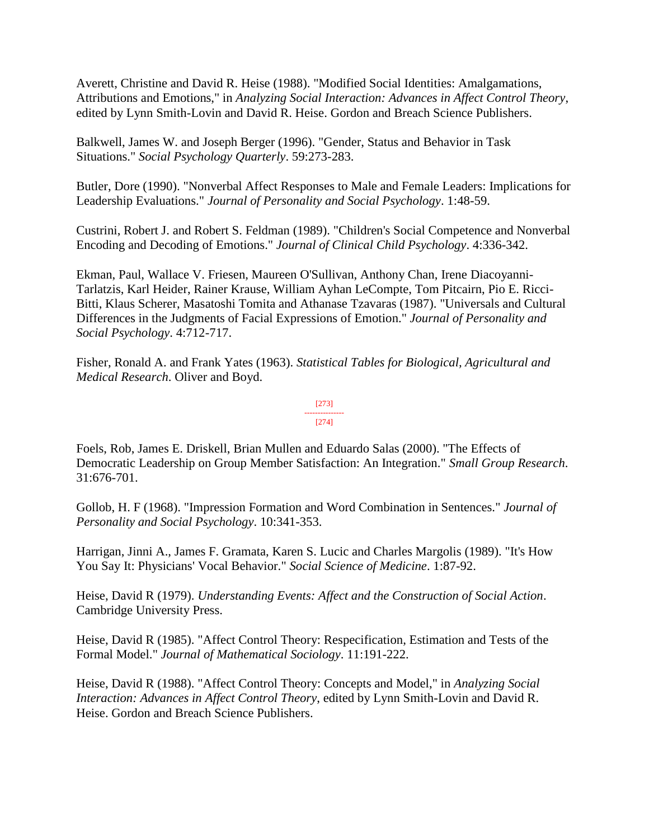Averett, Christine and David R. Heise (1988). "Modified Social Identities: Amalgamations, Attributions and Emotions," in *Analyzing Social Interaction: Advances in Affect Control Theory*, edited by Lynn Smith-Lovin and David R. Heise. Gordon and Breach Science Publishers.

Balkwell, James W. and Joseph Berger (1996). "Gender, Status and Behavior in Task Situations." *Social Psychology Quarterly*. 59:273-283.

Butler, Dore (1990). "Nonverbal Affect Responses to Male and Female Leaders: Implications for Leadership Evaluations." *Journal of Personality and Social Psychology*. 1:48-59.

Custrini, Robert J. and Robert S. Feldman (1989). "Children's Social Competence and Nonverbal Encoding and Decoding of Emotions." *Journal of Clinical Child Psychology*. 4:336-342.

Ekman, Paul, Wallace V. Friesen, Maureen O'Sullivan, Anthony Chan, Irene Diacoyanni-Tarlatzis, Karl Heider, Rainer Krause, William Ayhan LeCompte, Tom Pitcairn, Pio E. Ricci-Bitti, Klaus Scherer, Masatoshi Tomita and Athanase Tzavaras (1987). "Universals and Cultural Differences in the Judgments of Facial Expressions of Emotion." *Journal of Personality and Social Psychology*. 4:712-717.

Fisher, Ronald A. and Frank Yates (1963). *Statistical Tables for Biological, Agricultural and Medical Research*. Oliver and Boyd.

#### [273] --------------- [274]

Foels, Rob, James E. Driskell, Brian Mullen and Eduardo Salas (2000). "The Effects of Democratic Leadership on Group Member Satisfaction: An Integration." *Small Group Research*. 31:676-701.

Gollob, H. F (1968). "Impression Formation and Word Combination in Sentences." *Journal of Personality and Social Psychology*. 10:341-353.

Harrigan, Jinni A., James F. Gramata, Karen S. Lucic and Charles Margolis (1989). "It's How You Say It: Physicians' Vocal Behavior." *Social Science of Medicine*. 1:87-92.

Heise, David R (1979). *Understanding Events: Affect and the Construction of Social Action*. Cambridge University Press.

Heise, David R (1985). "Affect Control Theory: Respecification, Estimation and Tests of the Formal Model." *Journal of Mathematical Sociology*. 11:191-222.

Heise, David R (1988). "Affect Control Theory: Concepts and Model," in *Analyzing Social Interaction: Advances in Affect Control Theory*, edited by Lynn Smith-Lovin and David R. Heise. Gordon and Breach Science Publishers.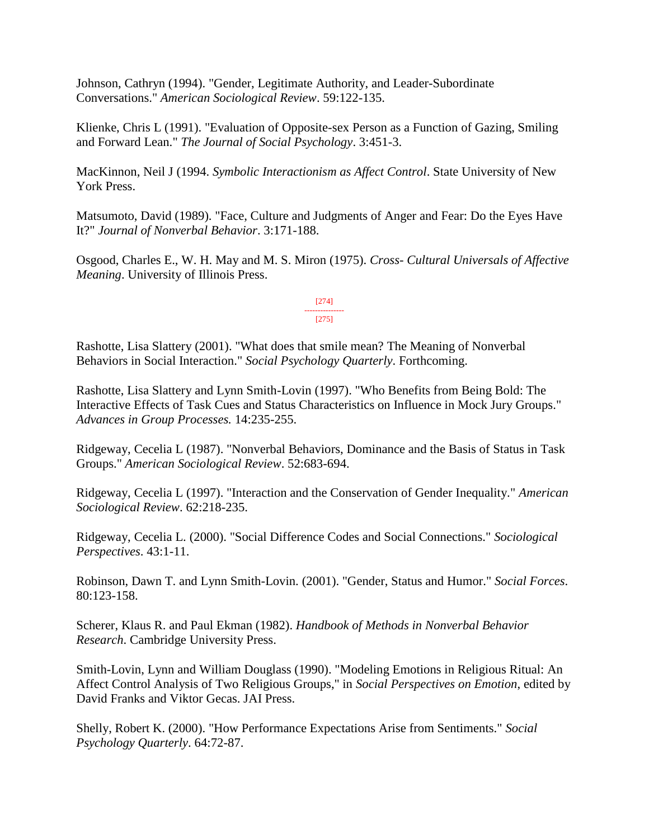Johnson, Cathryn (1994). "Gender, Legitimate Authority, and Leader-Subordinate Conversations." *American Sociological Review*. 59:122-135.

Klienke, Chris L (1991). "Evaluation of Opposite-sex Person as a Function of Gazing, Smiling and Forward Lean." *The Journal of Social Psychology*. 3:451-3.

MacKinnon, Neil J (1994. *Symbolic Interactionism as Affect Control*. State University of New York Press.

Matsumoto, David (1989). "Face, Culture and Judgments of Anger and Fear: Do the Eyes Have It?" *Journal of Nonverbal Behavior*. 3:171-188.

Osgood, Charles E., W. H. May and M. S. Miron (1975). *Cross- Cultural Universals of Affective Meaning*. University of Illinois Press.

> [274] --------------- [275]

Rashotte, Lisa Slattery (2001). "What does that smile mean? The Meaning of Nonverbal Behaviors in Social Interaction." *Social Psychology Quarterly*. Forthcoming.

Rashotte, Lisa Slattery and Lynn Smith-Lovin (1997). "Who Benefits from Being Bold: The Interactive Effects of Task Cues and Status Characteristics on Influence in Mock Jury Groups." *Advances in Group Processes.* 14:235-255.

Ridgeway, Cecelia L (1987). "Nonverbal Behaviors, Dominance and the Basis of Status in Task Groups." *American Sociological Review*. 52:683-694.

Ridgeway, Cecelia L (1997). "Interaction and the Conservation of Gender Inequality." *American Sociological Review*. 62:218-235.

Ridgeway, Cecelia L. (2000). "Social Difference Codes and Social Connections." *Sociological Perspectives*. 43:1-11.

Robinson, Dawn T. and Lynn Smith-Lovin. (2001). "Gender, Status and Humor." *Social Forces*. 80:123-158.

Scherer, Klaus R. and Paul Ekman (1982). *Handbook of Methods in Nonverbal Behavior Research*. Cambridge University Press.

Smith-Lovin, Lynn and William Douglass (1990). "Modeling Emotions in Religious Ritual: An Affect Control Analysis of Two Religious Groups," in *Social Perspectives on Emotion*, edited by David Franks and Viktor Gecas. JAI Press.

Shelly, Robert K. (2000). "How Performance Expectations Arise from Sentiments." *Social Psychology Quarterly*. 64:72-87.